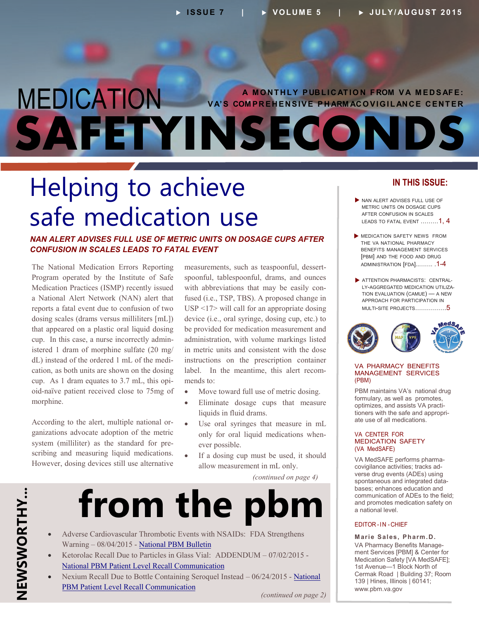### <span id="page-0-0"></span>MEDICATION **SAFETYINSECONDS A MONTHLY PUBLICATION FROM VA MEDSAFE: VA'S COMPREHENSIVE PHARM ACOVIGILANCE CENTER**

### Helping to achieve safe medication use

#### *NAN ALERT ADVISES FULL USE OF METRIC UNITS ON DOSAGE CUPS AFTER CONFUSION IN SCALES LEADS TO FATAL EVENT*

cup. In this case, a nurse incorrectly admin-- dL) instead of the ordered 1 mL of the medi - cup. As 1 dram equates to 3.7 mL, this opi The National Medication Errors Reporting Program operated by the Institute of Safe Medication Practices (ISMP) recently issued a National Alert Network (NAN) alert that reports a fatal event due to confusion of two dosing scales (drams versus milliliters [mL]) that appeared on a plastic oral liquid dosing istered 1 dram of morphine sulfate (20 mg/ cation, as both units are shown on the dosing oid-naïve patient received close to 75mg of morphine.

- According to the alert, multiple national or system (milliliter) as the standard for preganizations advocate adoption of the metric scribing and measuring liquid medications. However, dosing devices still use alternative

measurements, such as teaspoonful, dessertwith abbreviations that may be easily conspoonful, tablespoonful, drams, and ounces fused (i.e., TSP, TBS). A proposed change in USP <17> will call for an appropriate dosing device (i.e., oral syringe, dosing cup, etc.) to be provided for medication measurement and administration, with volume markings listed in metric units and consistent with the dose instructions on the prescription container label. In the meantime, this alert recommends to:

- Move toward full use of metric dosing.
- Eliminate dosage cups that measure liquids in fluid drams.
- only for oral liquid medications when Use oral syringes that measure in mL ever possible.
- If a dosing cup must be used, it should allow measurement in mL only.

*(continued on page 4)* 

## from the pb

- Adverse Cardiovascular Thrombotic Events with NSAIDs: FDA Strengthens Warning – 08/04/2015 - [National PBM Bulletin](http://www.pbm.va.gov/PBM/vacenterformedicationsafety/nationalpbmbulletin/NSAIDS_and_CV_Safety_NATIONAL_PBM_BULLETIN_080415_FINAL.pdf)
- Ketorolac Recall Due to Particles in Glass Vial: ADDENDUM 07/02/2015 -[National PBM Patient Level Recall Communication](http://www.pbm.va.gov/PBM/vacenterformedicationsafety/nationalpbmcommunication/Ketorolac_Recall_Due_to_Particles_in_Glass_Vial_National_PBM_Patient_Level_Addendum.pdf)
- Nexium Recall Due to Bottle Containing Seroquel Instead 06/24/2015 [National](http://www.pbm.va.gov/PBM/vacenterformedicationsafety/nationalpbmcommunication/Nexium_Recall_Due_to_Seroquel_instead_National_PBM_Patient_Level_2015_02.pdf)  [PBM Patient Level Recall Communication](http://www.pbm.va.gov/PBM/vacenterformedicationsafety/nationalpbmcommunication/Nexium_Recall_Due_to_Seroquel_instead_National_PBM_Patient_Level_2015_02.pdf)

*(continued on page 2)* 

#### **IN THIS ISSUE:**

- NAN ALERT ADVISES FULL USE OF METRIC UNITS ON DOSAGE CUPS AFTER CONFUSION IN SCALES LEADS TO FATAL EVENT .........1.4
- **MEDICATION SAFETY NEWS FROM** THE VA NATIONAL PHARMACY BENEFITS MANAGEMENT SERVICES [PBM] AND THE FOOD AND DRUG [ADMINISTRATION \[FDA\]..……. .1](#page-0-0)-4
- **ATTENTION PHARMACISTS: CENTRAL-**LY-AGGREGATED MEDICATION UTILIZA-[TION EVALUATION \(CAMUE\) — A NEW](#page-4-0)  APPROACH FOR PARTICIPATION IN MULTI-SITE PROJECTS…………….5



#### VA PHARMACY BENEFITS MANAGEMENT SERVICES (PBM)

optimizes, and assists VA practitioners with the safe and appropri-PBM maintains VA's national drug formulary, as well as promotes, ate use of all medications.

#### VA CENTER FOR MEDICATION SAFETY (VA MedSAFE)

- VA MedSAFE performs pharma - covigilance activities; tracks ad - spontaneous and integrated data verse drug events (ADEs) using bases; enhances education and communication of ADEs to the field; and promotes medication safety on a national level.

#### EDITOR -IN -CHIEF

- VA Pharmacy Benefits Manage **Marie Sales, Pharm.D.**  ment Services [PBM] & Center for Medication Safety [VA MedSAFE]; 1st Avenue—1 Block North of Cermak Road | Building 37; Room 139 | Hines, Illinois | 60141; www.pbm.va.gov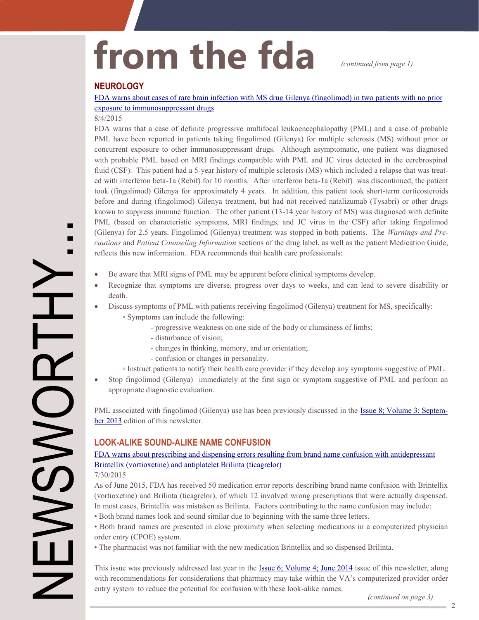## from the fda *(continued from page 1)*

#### **NEUROLOGY**

[FDA warns about cases of rare brain infection with MS drug Gilenya \(fingolimod\) in two patients with no prior](http://www.fda.gov/Drugs/DrugSafety/ucm456919.htm)  [exposure to immunosuppressant drugs](http://www.fda.gov/Drugs/DrugSafety/ucm456919.htm) 

#### 8/4/2015

FDA warns that a case of definite progressive multifocal leukoencephalopathy (PML) and a case of probable PML have been reported in patients taking fingolimod (Gilenya) for multiple sclerosis (MS) without prior or concurrent exposure to other immunosuppressant drugs. Although asymptomatic, one patient was diagnosed with probable PML based on MRI findings compatible with PML and JC virus detected in the cerebrospinal fluid (CSF). This patient had a 5-year history of multiple sclerosis (MS) which included a relapse that was treated with interferon beta-1a (Rebif) for 10 months. After interferon beta-1a (Rebif) was discontinued, the patient took (fingolimod) Gilenya for approximately 4 years. In addition, this patient took short-term corticosteroids before and during (fingolimod) Gilenya treatment, but had not received natalizumab (Tysabri) or other drugs known to suppress immune function. The other patient (13-14 year history of MS) was diagnosed with definite PML (based on characteristic symptoms, MRI findings, and JC virus in the CSF) after taking fingolimod (Gilenya) for 2.5 years. Fingolimod (Gilenya) treatment was stopped in both patients. The *Warnings and Pre cautions* and *Patient Counseling Information* sections of the drug label, as well as the patient Medication Guide, reflects this new information. FDA recommends that health care professionals:

- Be aware that MRI signs of PML may be apparent before clinical symptoms develop.
- Recognize that symptoms are diverse, progress over days to weeks, and can lead to severe disability or death.
- Discuss symptoms of PML with patients receiving fingolimod (Gilenya) treatment for MS, specifically:
	- ◦ Symptoms can include the following:
		- progressive weakness on one side of the body or clumsiness of limbs;
		- disturbance of vision;
		- changes in thinking, memory, and or orientation;
		- confusion or changes in personality.
		- Instruct patients to notify their health care provider if they develop any symptoms suggestive of PML.
- Stop fingolimod (Gilenya) immediately at the first sign or symptom suggestive of PML and perform an appropriate diagnostic evaluation.

PML associated with fingolimod (Gilenya) use has been previously discussed in the [Issue 8; Volume 3; Septem](http://www.pbm.va.gov/PBM/vacenterformedicationsafety/newsletter/Medication_Safety_in_Seconds_Sept_2013_FINAL.pdf)[ber 2013 e](http://www.pbm.va.gov/PBM/vacenterformedicationsafety/newsletter/Medication_Safety_in_Seconds_Sept_2013_FINAL.pdf)dition of this newsletter.

#### **LOOK-ALIKE SOUND-ALIKE NAME CONFUSION**

#### [FDA warns about prescribing and dispensing errors resulting from brand name confusion with antidepressant](http://www.fda.gov/Drugs/DrugSafety/ucm456341.htm) [Brintellix \(vortioxetine\) and antiplatelet Brilinta \(ticagrelor\)](http://www.fda.gov/Drugs/DrugSafety/ucm456341.htm)

#### 7/30/2015

NEWSWORTHY...

**DONSWE** 

П П

> As of June 2015, FDA has received 50 medication error reports describing brand name confusion with Brintellix (vortioxetine) and Brilinta (ticagrelor), of which 12 involved wrong prescriptions that were actually dispensed. In most cases, Brintellix was mistaken as Brilinta. Factors contributing to the name confusion may include:

- Both brand names look and sound similar due to beginning with the same three letters.
- Both brand names are presented in close proximity when selecting medications in a computerized physician order entry (CPOE) system.
- The pharmacist was not familiar with the new medication Brintellix and so dispensed Brilinta.

with recommendations for considerations that pharmacy may take within the VA's computerized provider order entry system to reduce the potential for confusion with these look-alike names. This issue was previously addressed last year in the [Issue 6; Volume 4; June 2014 i](http://www.pbm.va.gov/PBM/vacenterformedicationsafety/newsletter/Medication_Safety_in_Seconds_June_2014_FINAL.pdf)ssue of this newsletter, along

 *(continued on page 3)* 

2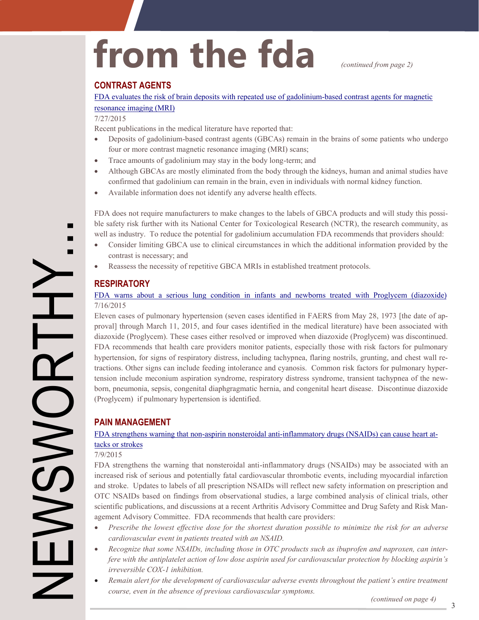# from the fda *continued from page 2)*

#### **CONTRAST AGENTS**

[FDA evaluates the risk of brain deposits with repeated use of gadolinium](http://www.fda.gov/Drugs/DrugSafety/ucm455386.htm)-based contrast agents for magnetic

#### [resonance imaging \(MRI\)](http://www.fda.gov/Drugs/DrugSafety/ucm455386.htm)

#### 7/27/2015

Recent publications in the medical literature have reported that:

- Deposits of gadolinium-based contrast agents (GBCAs) remain in the brains of some patients who undergo four or more contrast magnetic resonance imaging (MRI) scans;
- Trace amounts of gadolinium may stay in the body long-term; and
- Although GBCAs are mostly eliminated from the body through the kidneys, human and animal studies have confirmed that gadolinium can remain in the brain, even in individuals with normal kidney function.
- Available information does not identify any adverse health effects.

FDA does not require manufacturers to make changes to the labels of GBCA products and will study this possi ble safety risk further with its National Center for Toxicological Research (NCTR), the research community, as well as industry. To reduce the potential for gadolinium accumulation FDA recommends that providers should:

- Consider limiting GBCA use to clinical circumstances in which the additional information provided by the contrast is necessary; and
- Reassess the necessity of repetitive GBCA MRIs in established treatment protocols.

#### **RESPIRATORY**

#### [FDA warns about a serious lung condition in infants and newborns treated with Proglycem \(diazoxide\)](http://www.fda.gov/Drugs/DrugSafety/ucm454833.htm)  7/16/2015

Eleven cases of pulmonary hypertension (seven cases identified in FAERS from May 28, 1973 [the date of ap-- hypertension, for signs of respiratory distress, including tachypnea, flaring nostrils, grunting, and chest wall re - tractions. Other signs can include feeding intolerance and cyanosis. Common risk factors for pulmonary hyper - tension include meconium aspiration syndrome, respiratory distress syndrome, transient tachypnea of the new proval] through March 11, 2015, and four cases identified in the medical literature) have been associated with diazoxide (Proglycem). These cases either resolved or improved when diazoxide (Proglycem) was discontinued. FDA recommends that health care providers monitor patients, especially those with risk factors for pulmonary born, pneumonia, sepsis, congenital diaphgragmatic hernia, and congenital heart disease. Discontinue diazoxide (Proglycem) if pulmonary hypertension is identified.

#### **PAIN MANAGEMENT**

#### FDA strengthens warning that non-aspirin nonsteroidal anti-[inflammatory drugs \(NSAIDs\) can cause heart at](http://www.fda.gov/Drugs/DrugSafety/ucm451800.htm)[tacks or strokes](http://www.fda.gov/Drugs/DrugSafety/ucm451800.htm)

#### 7/9/2015

scientific publications, and discussions at a recent Arthritis Advisory Committee and Drug Safety and Risk Man-FDA strengthens the warning that nonsteroidal anti-inflammatory drugs (NSAIDs) may be associated with an increased risk of serious and potentially fatal cardiovascular thrombotic events, including myocardial infarction and stroke. Updates to labels of all prescription NSAIDs will reflect new safety information on prescription and OTC NSAIDs based on findings from observational studies, a large combined analysis of clinical trials, other agement Advisory Committee. FDA recommends that health care providers:

- *Prescribe the lowest effective dose for the shortest duration possible to minimize the risk for an adverse cardiovascular event in patients treated with an NSAID.*
- *- Recognize that some NSAIDs, including those in OTC products such as ibuprofen and naproxen, can inter fere with the antiplatelet action of low dose aspirin used for cardiovascular protection by blocking aspirin's irreversible COX-1 inhibition.*
- *Remain alert for the development of cardiovascular adverse events throughout the patient's entire treatment course, even in the absence of previous cardiovascular symptoms.*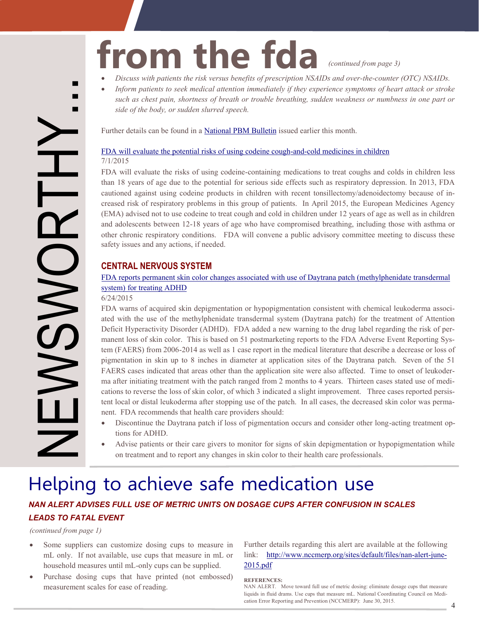## from the fda *(continued from page 3)*

- *Discuss with patients the risk versus benefits of prescription NSAIDs and over-the-counter (OTC) NSAIDs.*
- *Inform patients to seek medical attention immediately if they experience symptoms of heart attack or stroke such as chest pain, shortness of breath or trouble breathing, sudden weakness or numbness in one part or side of the body, or sudden slurred speech.*

Further details can be found in a [National PBM Bulletin](http://www.pbm.va.gov/PBM/vacenterformedicationsafety/nationalpbmbulletin/NSAIDS_and_CV_Safety_NATIONAL_PBM_BULLETIN_080415_FINAL.pdf) issued earlier this month.

#### [FDA will evaluate the potential risks of using codeine cough](http://www.fda.gov/Drugs/DrugSafety/ucm453125.htm)-and-cold medicines in children 7/1/2015

- cautioned against using codeine products in children with recent tonsillectomy/adenoidectomy because of in FDA will evaluate the risks of using codeine-containing medications to treat coughs and colds in children less than 18 years of age due to the potential for serious side effects such as respiratory depression. In 2013, FDA creased risk of respiratory problems in this group of patients. In April 2015, the European Medicines Agency (EMA) advised not to use codeine to treat cough and cold in children under 12 years of age as well as in children and adolescents between 12-18 years of age who have compromised breathing, including those with asthma or other chronic respiratory conditions. FDA will convene a public advisory committee meeting to discuss these safety issues and any actions, if needed.

#### **CENTRAL NERVOUS SYSTEM**

#### [FDA reports permanent skin color changes associated with use of Daytrana patch \(methylphenidate transdermal](http://www.fda.gov/Drugs/DrugSafety/ucm452244.htm)  [system\) for treating ADHD](http://www.fda.gov/Drugs/DrugSafety/ucm452244.htm)

#### 6/24/2015

FDA warns of acquired skin depigmentation or hypopigmentation consistent with chemical leukoderma associ-Deficit Hyperactivity Disorder (ADHD). FDA added a new warning to the drug label regarding the risk of permanent loss of skin color. This is based on 51 postmarketing reports to the FDA Adverse Event Reporting Sys-FAERS cases indicated that areas other than the application site were also affected. Time to onset of leukoderma after initiating treatment with the patch ranged from 2 months to 4 years. Thirteen cases stated use of medi-- cations to reverse the loss of skin color, of which 3 indicated a slight improvement. Three cases reported persis - tent local or distal leukoderma after stopping use of the patch. In all cases, the decreased skin color was perma ated with the use of the methylphenidate transdermal system (Daytrana patch) for the treatment of Attention tem (FAERS) from 2006-2014 as well as 1 case report in the medical literature that describe a decrease or loss of pigmentation in skin up to 8 inches in diameter at application sites of the Daytrana patch. Seven of the 51 nent. FDA recommends that health care providers should:

- Discontinue the Daytrana patch if loss of pigmentation occurs and consider other long-acting treatment options for ADHD.
- Advise patients or their care givers to monitor for signs of skin depigmentation or hypopigmentation while on treatment and to report any changes in skin color to their health care professionals.

### Helping to achieve safe medication use

#### *NAN ALERT ADVISES FULL USE OF METRIC UNITS ON DOSAGE CUPS AFTER CONFUSION IN SCALES LEADS TO FATAL EVENT*

*(continued from page 1)* 

NEWSWORTHY...

**NCC** 

П Е

- Some suppliers can customize dosing cups to measure in mL only. If not available, use cups that measure in mL or household measures until mL-only cups can be supplied.
- Purchase dosing cups that have printed (not embossed) measurement scales for ease of reading.

 Further details regarding this alert are available at the following link: [http://www.nccmerp.org/sites/default/files/nan](http://www.nccmerp.org/sites/default/files/nan-alert-june-2015.pdf)-alert-june-[2015.pdf](http://www.nccmerp.org/sites/default/files/nan-alert-june-2015.pdf) 

#### **REFERENCES:**

<sup>-</sup> liquids in fluid drams. Use cups that measure mL. National Coordinating Council on Medi NAN ALERT. Move toward full use of metric dosing: eliminate dosage cups that measure cation Error Reporting and Prevention (NCCMERP): June 30, 2015. 4